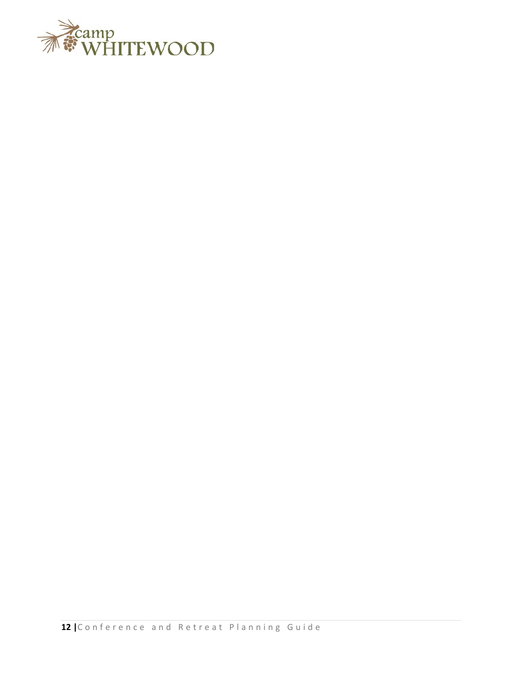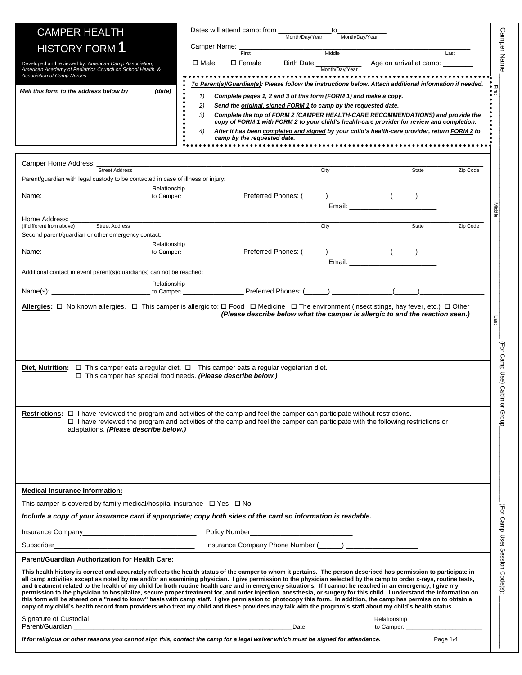| <b>CAMPER HEALTH</b>                                                                                                                                                                                                                                                                                                                                                                                                                                                                                                                                                                                                                                                                                                                                                                                                                                                                                                                                                                                                                                                                                                                                                                                                                                                                                                     | Dates will attend camp: from                                                                                                                                                                                                                                                                                                                                                                                                                                                                                                                                                             | _to<br>Month/Day/Year Month/Day/Year |                                                   |          |
|--------------------------------------------------------------------------------------------------------------------------------------------------------------------------------------------------------------------------------------------------------------------------------------------------------------------------------------------------------------------------------------------------------------------------------------------------------------------------------------------------------------------------------------------------------------------------------------------------------------------------------------------------------------------------------------------------------------------------------------------------------------------------------------------------------------------------------------------------------------------------------------------------------------------------------------------------------------------------------------------------------------------------------------------------------------------------------------------------------------------------------------------------------------------------------------------------------------------------------------------------------------------------------------------------------------------------|------------------------------------------------------------------------------------------------------------------------------------------------------------------------------------------------------------------------------------------------------------------------------------------------------------------------------------------------------------------------------------------------------------------------------------------------------------------------------------------------------------------------------------------------------------------------------------------|--------------------------------------|---------------------------------------------------|----------|
| <b>HISTORY FORM 1</b>                                                                                                                                                                                                                                                                                                                                                                                                                                                                                                                                                                                                                                                                                                                                                                                                                                                                                                                                                                                                                                                                                                                                                                                                                                                                                                    | Camper Name: _                                                                                                                                                                                                                                                                                                                                                                                                                                                                                                                                                                           |                                      |                                                   |          |
| Developed and reviewed by: American Camp Association,                                                                                                                                                                                                                                                                                                                                                                                                                                                                                                                                                                                                                                                                                                                                                                                                                                                                                                                                                                                                                                                                                                                                                                                                                                                                    | First<br>$\square$ Male<br>$\square$ Female                                                                                                                                                                                                                                                                                                                                                                                                                                                                                                                                              | Middle                               |                                                   | Last     |
| American Academy of Pediatrics Council on School Health, &<br><b>Association of Camp Nurses</b>                                                                                                                                                                                                                                                                                                                                                                                                                                                                                                                                                                                                                                                                                                                                                                                                                                                                                                                                                                                                                                                                                                                                                                                                                          |                                                                                                                                                                                                                                                                                                                                                                                                                                                                                                                                                                                          |                                      | Birth Date Month/Day/Year Age on arrival at camp: |          |
| Mail this form to the address below by _______ (date)                                                                                                                                                                                                                                                                                                                                                                                                                                                                                                                                                                                                                                                                                                                                                                                                                                                                                                                                                                                                                                                                                                                                                                                                                                                                    | To Parent(s)/Guardian(s): Please follow the instructions below. Attach additional information if needed.<br>Complete pages 1, 2 and 3 of this form (FORM 1) and make a copy.<br>1)<br>2)<br>Send the original, signed FORM 1 to camp by the requested date.<br>Complete the top of FORM 2 (CAMPER HEALTH-CARE RECOMMENDATIONS) and provide the<br>3)<br>copy of FORM 1 with FORM 2 to your child's health-care provider for review and completion.<br>After it has been completed and signed by your child's health-care provider, return FORM 2 to<br>4)<br>camp by the requested date. |                                      |                                                   |          |
| Camper Home Address: _                                                                                                                                                                                                                                                                                                                                                                                                                                                                                                                                                                                                                                                                                                                                                                                                                                                                                                                                                                                                                                                                                                                                                                                                                                                                                                   | <u> 1989 - Johann John Stein, markin fan it ferstjer fan de ferstjer fan it ferstjer fan it ferstjer fan it fers</u>                                                                                                                                                                                                                                                                                                                                                                                                                                                                     |                                      |                                                   |          |
| <b>Street Address</b>                                                                                                                                                                                                                                                                                                                                                                                                                                                                                                                                                                                                                                                                                                                                                                                                                                                                                                                                                                                                                                                                                                                                                                                                                                                                                                    |                                                                                                                                                                                                                                                                                                                                                                                                                                                                                                                                                                                          | City                                 | State                                             | Zip Code |
| Parent/guardian with legal custody to be contacted in case of illness or injury:<br>Relationship                                                                                                                                                                                                                                                                                                                                                                                                                                                                                                                                                                                                                                                                                                                                                                                                                                                                                                                                                                                                                                                                                                                                                                                                                         |                                                                                                                                                                                                                                                                                                                                                                                                                                                                                                                                                                                          |                                      |                                                   |          |
|                                                                                                                                                                                                                                                                                                                                                                                                                                                                                                                                                                                                                                                                                                                                                                                                                                                                                                                                                                                                                                                                                                                                                                                                                                                                                                                          |                                                                                                                                                                                                                                                                                                                                                                                                                                                                                                                                                                                          |                                      |                                                   |          |
|                                                                                                                                                                                                                                                                                                                                                                                                                                                                                                                                                                                                                                                                                                                                                                                                                                                                                                                                                                                                                                                                                                                                                                                                                                                                                                                          |                                                                                                                                                                                                                                                                                                                                                                                                                                                                                                                                                                                          |                                      |                                                   |          |
| Home Address:                                                                                                                                                                                                                                                                                                                                                                                                                                                                                                                                                                                                                                                                                                                                                                                                                                                                                                                                                                                                                                                                                                                                                                                                                                                                                                            |                                                                                                                                                                                                                                                                                                                                                                                                                                                                                                                                                                                          |                                      |                                                   |          |
| <b>Street Address</b><br>(If different from above)                                                                                                                                                                                                                                                                                                                                                                                                                                                                                                                                                                                                                                                                                                                                                                                                                                                                                                                                                                                                                                                                                                                                                                                                                                                                       |                                                                                                                                                                                                                                                                                                                                                                                                                                                                                                                                                                                          | City                                 | State                                             | Zip Code |
| Second parent/quardian or other emergency contact:                                                                                                                                                                                                                                                                                                                                                                                                                                                                                                                                                                                                                                                                                                                                                                                                                                                                                                                                                                                                                                                                                                                                                                                                                                                                       |                                                                                                                                                                                                                                                                                                                                                                                                                                                                                                                                                                                          |                                      |                                                   |          |
| Relationship<br>Name: Name: Name and Name and Name and Name and Name and Name and Name and Name and Name and Name and Name and N                                                                                                                                                                                                                                                                                                                                                                                                                                                                                                                                                                                                                                                                                                                                                                                                                                                                                                                                                                                                                                                                                                                                                                                         |                                                                                                                                                                                                                                                                                                                                                                                                                                                                                                                                                                                          |                                      |                                                   |          |
|                                                                                                                                                                                                                                                                                                                                                                                                                                                                                                                                                                                                                                                                                                                                                                                                                                                                                                                                                                                                                                                                                                                                                                                                                                                                                                                          |                                                                                                                                                                                                                                                                                                                                                                                                                                                                                                                                                                                          |                                      |                                                   |          |
| Additional contact in event parent(s)/quardian(s) can not be reached:                                                                                                                                                                                                                                                                                                                                                                                                                                                                                                                                                                                                                                                                                                                                                                                                                                                                                                                                                                                                                                                                                                                                                                                                                                                    |                                                                                                                                                                                                                                                                                                                                                                                                                                                                                                                                                                                          |                                      |                                                   |          |
| Relationship                                                                                                                                                                                                                                                                                                                                                                                                                                                                                                                                                                                                                                                                                                                                                                                                                                                                                                                                                                                                                                                                                                                                                                                                                                                                                                             |                                                                                                                                                                                                                                                                                                                                                                                                                                                                                                                                                                                          |                                      |                                                   |          |
| Name(s): ________________________________to Camper: ______________________Preferred Phones: (______) ________________(______)                                                                                                                                                                                                                                                                                                                                                                                                                                                                                                                                                                                                                                                                                                                                                                                                                                                                                                                                                                                                                                                                                                                                                                                            |                                                                                                                                                                                                                                                                                                                                                                                                                                                                                                                                                                                          |                                      |                                                   |          |
|                                                                                                                                                                                                                                                                                                                                                                                                                                                                                                                                                                                                                                                                                                                                                                                                                                                                                                                                                                                                                                                                                                                                                                                                                                                                                                                          | (Please describe below what the camper is allergic to and the reaction seen.)                                                                                                                                                                                                                                                                                                                                                                                                                                                                                                            |                                      |                                                   |          |
| Allergies: □ No known allergies. □ This camper is allergic to: □ Food □ Medicine □ The environment (insect stings, hay fever, etc.) □ Other<br><b>Diet, Nutrition:</b> $\Box$ This camper eats a regular diet. $\Box$ This camper eats a regular vegetarian diet.<br>$\Box$ This camper has special food needs. (Please describe below.)                                                                                                                                                                                                                                                                                                                                                                                                                                                                                                                                                                                                                                                                                                                                                                                                                                                                                                                                                                                 |                                                                                                                                                                                                                                                                                                                                                                                                                                                                                                                                                                                          |                                      |                                                   |          |
| Restrictions: $\Box$ I have reviewed the program and activities of the camp and feel the camper can participate without restrictions.<br>adaptations. (Please describe below.)                                                                                                                                                                                                                                                                                                                                                                                                                                                                                                                                                                                                                                                                                                                                                                                                                                                                                                                                                                                                                                                                                                                                           | $\Box$ I have reviewed the program and activities of the camp and feel the camper can participate with the following restrictions or                                                                                                                                                                                                                                                                                                                                                                                                                                                     |                                      |                                                   |          |
|                                                                                                                                                                                                                                                                                                                                                                                                                                                                                                                                                                                                                                                                                                                                                                                                                                                                                                                                                                                                                                                                                                                                                                                                                                                                                                                          |                                                                                                                                                                                                                                                                                                                                                                                                                                                                                                                                                                                          |                                      |                                                   |          |
|                                                                                                                                                                                                                                                                                                                                                                                                                                                                                                                                                                                                                                                                                                                                                                                                                                                                                                                                                                                                                                                                                                                                                                                                                                                                                                                          |                                                                                                                                                                                                                                                                                                                                                                                                                                                                                                                                                                                          |                                      |                                                   |          |
|                                                                                                                                                                                                                                                                                                                                                                                                                                                                                                                                                                                                                                                                                                                                                                                                                                                                                                                                                                                                                                                                                                                                                                                                                                                                                                                          |                                                                                                                                                                                                                                                                                                                                                                                                                                                                                                                                                                                          |                                      |                                                   |          |
|                                                                                                                                                                                                                                                                                                                                                                                                                                                                                                                                                                                                                                                                                                                                                                                                                                                                                                                                                                                                                                                                                                                                                                                                                                                                                                                          |                                                                                                                                                                                                                                                                                                                                                                                                                                                                                                                                                                                          |                                      |                                                   |          |
| <u> 1989 - Johann Barn, mars ann an t-Amhain an t-Amhain an t-Amhain an t-Amhain an t-Amhain an t-Amhain an t-A</u>                                                                                                                                                                                                                                                                                                                                                                                                                                                                                                                                                                                                                                                                                                                                                                                                                                                                                                                                                                                                                                                                                                                                                                                                      | Insurance Company Phone Number (______) ________________                                                                                                                                                                                                                                                                                                                                                                                                                                                                                                                                 |                                      |                                                   |          |
| <b>Medical Insurance Information:</b><br>This camper is covered by family medical/hospital insurance $\Box$ Yes $\Box$ No<br>Include a copy of your insurance card if appropriate; copy both sides of the card so information is readable.<br>Subscriber<br>Parent/Guardian Authorization for Health Care:<br>This health history is correct and accurately reflects the health status of the camper to whom it pertains. The person described has permission to participate in<br>all camp activities except as noted by me and/or an examining physician. I give permission to the physician selected by the camp to order x-rays, routine tests,<br>and treatment related to the health of my child for both routine health care and in emergency situations. If I cannot be reached in an emergency, I give my<br>permission to the physician to hospitalize, secure proper treatment for, and order injection, anesthesia, or surgery for this child. I understand the information on<br>this form will be shared on a "need to know" basis with camp staff. I give permission to photocopy this form. In addition, the camp has permission to obtain a<br>copy of my child's health record from providers who treat my child and these providers may talk with the program's staff about my child's health status. |                                                                                                                                                                                                                                                                                                                                                                                                                                                                                                                                                                                          |                                      |                                                   |          |
| Signature of Custodial                                                                                                                                                                                                                                                                                                                                                                                                                                                                                                                                                                                                                                                                                                                                                                                                                                                                                                                                                                                                                                                                                                                                                                                                                                                                                                   |                                                                                                                                                                                                                                                                                                                                                                                                                                                                                                                                                                                          |                                      | Relationship                                      |          |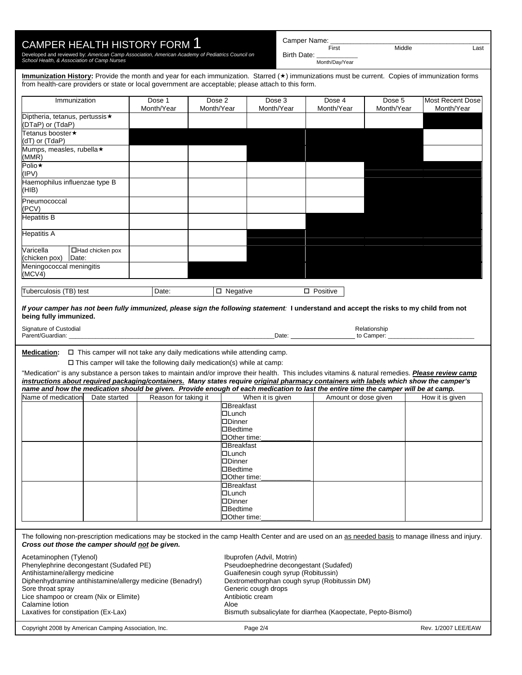## CAMPER HEALTH HISTORY FORM 1

Camper Name: \_\_\_\_\_\_\_\_\_\_\_\_\_\_\_\_\_\_\_\_\_\_\_\_\_\_\_\_\_\_\_\_\_\_\_\_\_\_\_\_\_\_\_\_\_\_\_\_

First **Middle** Middle **Last** 

**School And Text Control Intervention Camp Association, American Academy of Pediatrics Council on School Health, & Association of Camp Nurses** 

Birth Date: \_\_\_\_\_\_\_\_\_\_\_\_ Month/Day/Year

Immunization History: Provide the month and year for each immunization. Starred (\*) immunizations must be current. Copies of immunization forms from health-care providers or state or local government are acceptable; please attach to this form.

| Immunization                                                         |                  | Dose 1                                                                        | Dose 2     | Dose 3                                                                                                                                                                                                                                                                                        | Dose 4               | Dose 5                       | <b>Most Recent Dose</b> |
|----------------------------------------------------------------------|------------------|-------------------------------------------------------------------------------|------------|-----------------------------------------------------------------------------------------------------------------------------------------------------------------------------------------------------------------------------------------------------------------------------------------------|----------------------|------------------------------|-------------------------|
|                                                                      |                  | Month/Year                                                                    | Month/Year | Month/Year                                                                                                                                                                                                                                                                                    | Month/Year           | Month/Year                   | Month/Year              |
| Diptheria, tetanus, pertussis *<br>(DTaP) or (TdaP)                  |                  |                                                                               |            |                                                                                                                                                                                                                                                                                               |                      |                              |                         |
| Tetanus booster <b>★</b><br>(dT) or (TdaP)                           |                  |                                                                               |            |                                                                                                                                                                                                                                                                                               |                      |                              |                         |
| Mumps, measles, rubella *<br>(MMR)                                   |                  |                                                                               |            |                                                                                                                                                                                                                                                                                               |                      |                              |                         |
| Polio*<br>(IPV)                                                      |                  |                                                                               |            |                                                                                                                                                                                                                                                                                               |                      |                              |                         |
| Haemophilus influenzae type B<br>(HIB)                               |                  |                                                                               |            |                                                                                                                                                                                                                                                                                               |                      |                              |                         |
| Pneumococcal<br>(PCV)                                                |                  |                                                                               |            |                                                                                                                                                                                                                                                                                               |                      |                              |                         |
| <b>Hepatitis B</b>                                                   |                  |                                                                               |            |                                                                                                                                                                                                                                                                                               |                      |                              |                         |
| <b>Hepatitis A</b>                                                   |                  |                                                                               |            |                                                                                                                                                                                                                                                                                               |                      |                              |                         |
| Varicella<br>(chicken pox)<br>Date:                                  | □Had chicken pox |                                                                               |            |                                                                                                                                                                                                                                                                                               |                      |                              |                         |
| Meningococcal meningitis<br>(MCV4)                                   |                  |                                                                               |            |                                                                                                                                                                                                                                                                                               |                      |                              |                         |
| Tuberculosis (TB) test                                               |                  | Date:                                                                         |            | $\Box$ Negative                                                                                                                                                                                                                                                                               | $\square$ Positive   |                              |                         |
| being fully immunized.<br>Signature of Custodial<br>Parent/Guardian: |                  |                                                                               |            | If your camper has not been fully immunized, please sign the following statement: I understand and accept the risks to my child from not                                                                                                                                                      | Date: <b>Date:</b>   | Relationship<br>to Camper: _ |                         |
| <b>Medication:</b>                                                   |                  |                                                                               |            | $\Box$ This camper will not take any daily medications while attending camp.                                                                                                                                                                                                                  |                      |                              |                         |
|                                                                      |                  | $\Box$ This camper will take the following daily medication(s) while at camp: |            | "Medication" is any substance a person takes to maintain and/or improve their health. This includes vitamins & natural remedies. Please review camp<br>instructions about required packaging/containers. Many states require original pharmacy containers with labels which show the camper's |                      |                              |                         |
|                                                                      |                  |                                                                               |            | name and how the medication should be given. Provide enough of each medication to last the entire time the camper will be at camp.                                                                                                                                                            |                      |                              |                         |
| Name of medication                                                   | Date started     | Reason for taking it                                                          |            | When it is given                                                                                                                                                                                                                                                                              | Amount or dose given |                              | How it is given         |
|                                                                      |                  |                                                                               |            | <b>□Breakfast</b><br>$\Box$ Lunch<br>□Dinner<br>⊟Bedtime                                                                                                                                                                                                                                      |                      |                              |                         |
|                                                                      |                  |                                                                               |            | □Other time:<br><b>□Breakfast</b>                                                                                                                                                                                                                                                             |                      |                              |                         |
|                                                                      |                  |                                                                               |            | $L$ Lunch<br>□Dinner<br><b>□Bedtime</b>                                                                                                                                                                                                                                                       |                      |                              |                         |
|                                                                      |                  |                                                                               |            | □Other time:<br><b>□Breakfast</b>                                                                                                                                                                                                                                                             |                      |                              |                         |
|                                                                      |                  |                                                                               |            | $\Box$ Lunch                                                                                                                                                                                                                                                                                  |                      |                              |                         |

The following non-prescription medications may be stocked in the camp Health Center and are used on an as needed basis to manage illness and injury. *Cross out those the camper should not be given.*

| Acetaminophen (Tylenol)                                   | Ibuprofen (Advil, Motrin)                                     |                     |
|-----------------------------------------------------------|---------------------------------------------------------------|---------------------|
| Phenylephrine decongestant (Sudafed PE)                   | Pseudoephedrine decongestant (Sudafed)                        |                     |
| Antihistamine/allergy medicine                            | Guaifenesin cough syrup (Robitussin)                          |                     |
| Diphenhydramine antihistamine/allergy medicine (Benadryl) | Dextromethorphan cough syrup (Robitussin DM)                  |                     |
| Sore throat spray                                         | Generic cough drops                                           |                     |
| Lice shampoo or cream (Nix or Elimite)                    | Antibiotic cream                                              |                     |
| Calamine lotion                                           | Aloe                                                          |                     |
| Laxatives for constipation (Ex-Lax)                       | Bismuth subsalicylate for diarrhea (Kaopectate, Pepto-Bismol) |                     |
| Copyright 2008 by American Camping Association, Inc.      | Page 2/4                                                      | Rev. 1/2007 LEE/EAW |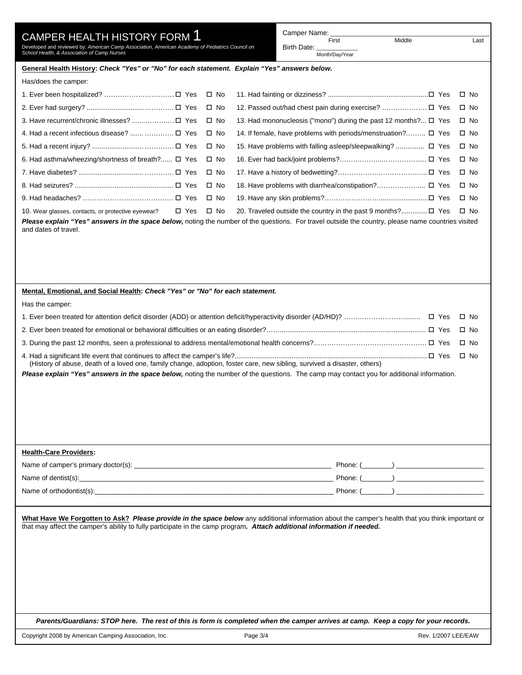CAMPER HEALTH HISTORY FORM 1 Developed and reviewed by: *American Camp Association, American Academy of Pediatrics Council on School Health, & Association of Camp Nurses*

Camper Name: \_\_\_\_\_\_\_\_\_\_\_\_\_\_\_\_\_\_\_\_\_\_\_\_\_\_\_\_\_\_\_\_\_\_\_\_\_\_\_\_\_\_\_\_\_\_\_\_

Birth Date: Month/Day/Year

First **Middle** Middle **Last** 

| General Health History: Check "Yes" or "No" for each statement. Explain "Yes" answers below. |  |  |  |
|----------------------------------------------------------------------------------------------|--|--|--|
|                                                                                              |  |  |  |

| Has/does the camper: |  |
|----------------------|--|
|----------------------|--|

|                                                                  |                                                                                                                                               | $\square$ No |
|------------------------------------------------------------------|-----------------------------------------------------------------------------------------------------------------------------------------------|--------------|
| 3. Have recurrent/chronic illnesses?  □ Yes □ No                 | 13. Had mononucleosis ("mono") during the past 12 months? $\Box$ Yes                                                                          | $\Box$ No    |
| 4. Had a recent infectious disease?   □ Yes □ No                 | 14. If female, have problems with periods/menstruation? $\square$ Yes                                                                         | ⊟ No         |
|                                                                  | 15. Have problems with falling asleep/sleepwalking? $\Box$ Yes $\Box$ No                                                                      |              |
| 6. Had asthma/wheezing/shortness of breath? $\Box$ Yes $\Box$ No |                                                                                                                                               |              |
|                                                                  |                                                                                                                                               |              |
|                                                                  |                                                                                                                                               |              |
|                                                                  |                                                                                                                                               |              |
| □ Yes □ No<br>10. Wear glasses, contacts, or protective eyewear? | 20. Traveled outside the country in the past 9 months? $\Box$ Yes $\Box$ No                                                                   |              |
|                                                                  | Dissex contain 6Vesti concern in the curso helper pathonics des conclusors diesentes and concern and the common planes paper consider delight |              |

*Please explain "Yes" answers in the space below***,** noting the number of the questions. For travel outside the country, please name countries visited and dates of travel.

## **Mental, Emotional, and Social Health:** *Check "Yes" or "No" for each statement.*

Has the camper:

| (History of abuse, death of a loved one, family change, adoption, foster care, new sibling, survived a disaster, others) |  |  |
|--------------------------------------------------------------------------------------------------------------------------|--|--|

*Please explain "Yes" answers in the space below,* noting the number of the questions. The camp may contact you for additional information.

| <b>Health-Care Providers:</b>       |                                                                                                               |
|-------------------------------------|---------------------------------------------------------------------------------------------------------------|
| Name of camper's primary doctor(s): | Phone: (                                                                                                      |
| Name of dentist(s):                 | Phone: (The Science of The Science of The Science of The Science of The Science of The Science of The Theorem |
| Name of orthodontist(s):            | Phone: (Carrier of the Phone of the Phone of the Phone of the Phone of the Phone of the Phone of the Phone of |

**What Have We Forgotten to Ask?** *Please provide in the space below* any additional information about the camper's health that you think important or that may affect the camper's ability to fully participate in the camp program*. Attach additional information if needed.*

*Parents/Guardians: STOP here. The rest of this is form is completed when the camper arrives at camp. Keep a copy for your records.* 

Copyright 2008 by American Camping Association, Inc. <br>
Page 3/4 Rev. 1/2007 LEE/EAW